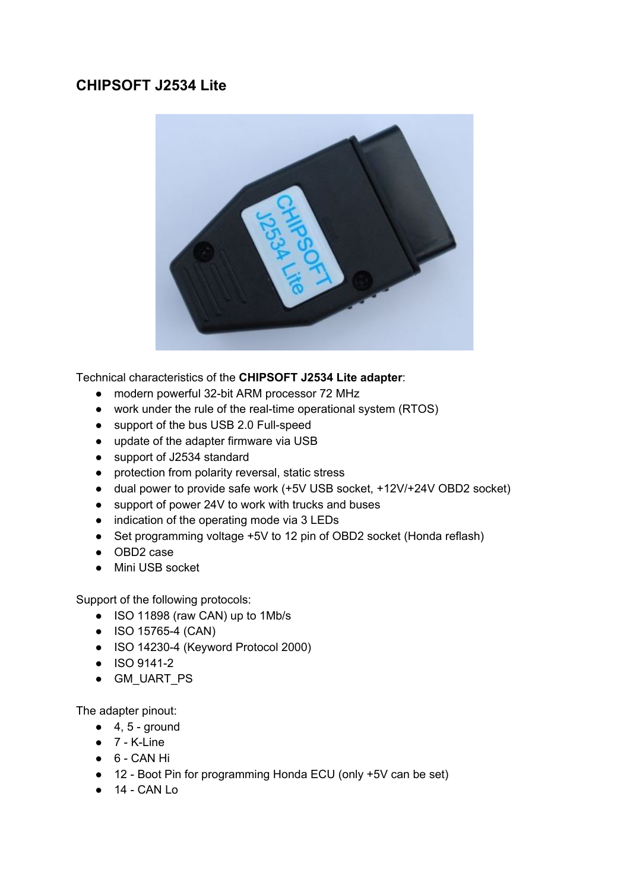# **CHIPSOFT J2534 Lite**



Technical characteristics of the **CHIPSOFT J2534 Lite adapter**:

- modern powerful 32-bit ARM processor 72 MHz
- work under the rule of the real-time operational system (RTOS)
- support of the bus USB 2.0 Full-speed
- update of the adapter firmware via USB
- support of J2534 standard
- protection from polarity reversal, static stress
- dual power to provide safe work (+5V USB socket, +12V/+24V OBD2 socket)
- support of power 24V to work with trucks and buses
- indication of the operating mode via 3 LEDs
- Set programming voltage +5V to 12 pin of OBD2 socket (Honda reflash)
- OBD2 case
- Mini USB socket

Support of the following protocols:

- ISO 11898 (raw CAN) up to 1Mb/s
- ISO 15765-4 (CAN)
- ISO 14230-4 (Keyword Protocol 2000)
- ISO 9141-2
- GM\_UART\_PS

The adapter pinout:

- $\bullet$  4, 5 ground
- $\bullet$  7 K-Line
- 6 CAN Hi
- 12 Boot Pin for programming Honda ECU (only +5V can be set)
- $\bullet$  14 CAN Lo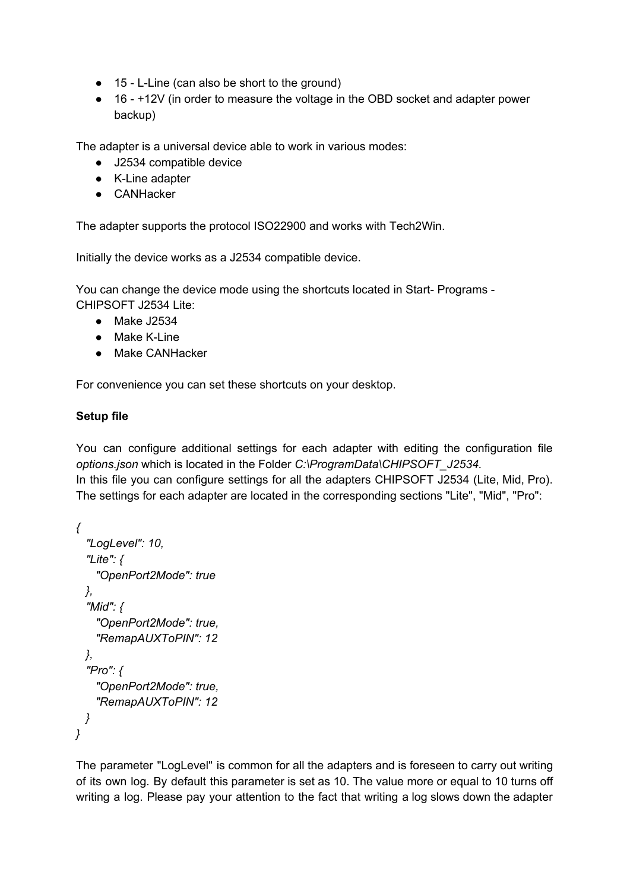- 15 L-Line (can also be short to the ground)
- 16 +12V (in order to measure the voltage in the OBD socket and adapter power backup)

The adapter is a universal device able to work in various modes:

- J2534 compatible device
- K-Line adapter
- CANHacker

The adapter supports the protocol ISO22900 and works with Tech2Win.

Initially the device works as a J2534 compatible device.

You can change the device mode using the shortcuts located in Start- Programs - CHIPSOFT J2534 Lite:

- Make J2534
- Make K-Line
- Make CANHacker

For convenience you can set these shortcuts on your desktop.

#### **Setup file**

You can configure additional settings for each adapter with editing the configuration file *options.json* which is located in the Folder *C:\ProgramData\CHIPSOFT\_J2534.* In this file you can configure settings for all the adapters CHIPSOFT J2534 (Lite, Mid, Pro). The settings for each adapter are located in the corresponding sections "Lite", "Mid", "Pro":

```
{
 "LogLevel": 10,
 "Lite": {
   "OpenPort2Mode": true
 },
 "Mid": {
   "OpenPort2Mode": true,
   "RemapAUXToPIN": 12
 },
 "Pro": {
   "OpenPort2Mode": true,
   "RemapAUXToPIN": 12
 }
}
```
The parameter "LogLevel" is common for all the adapters and is foreseen to carry out writing of its own log. By default this parameter is set as 10. The value more or equal to 10 turns off writing a log. Please pay your attention to the fact that writing a log slows down the adapter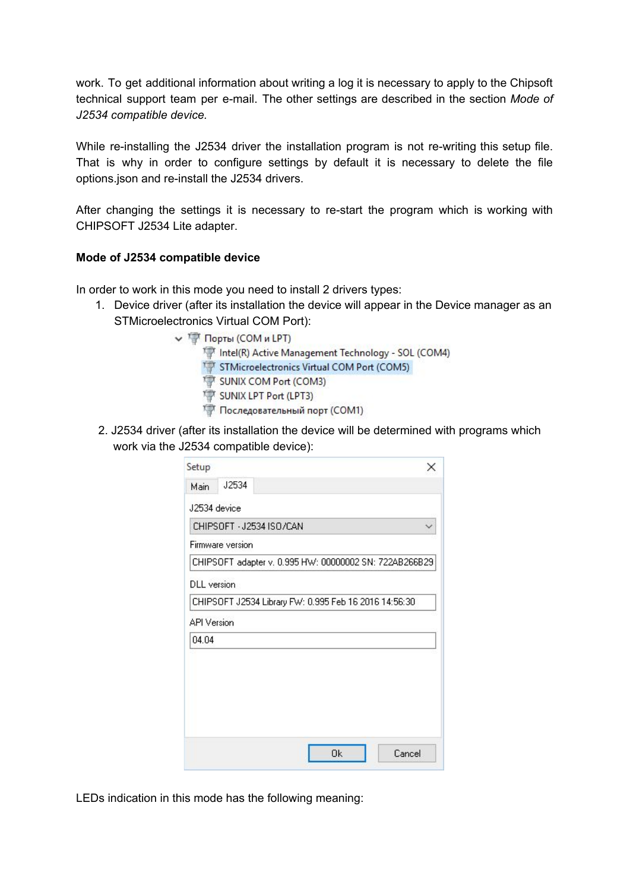work. To get additional information about writing a log it is necessary to apply to the Chipsoft technical support team per e-mail. The other settings are described in the section *Mode of J2534 compatible device.*

While re-installing the J2534 driver the installation program is not re-writing this setup file. That is why in order to configure settings by default it is necessary to delete the file options.json and re-install the J2534 drivers.

After changing the settings it is necessary to re-start the program which is working with CHIPSOFT J2534 Lite adapter.

## **Mode of J2534 compatible device**

In order to work in this mode you need to install 2 drivers types:

- 1. Device driver (after its installation the device will appear in the Device manager as an STMicroelectronics Virtual COM Port):
	- V T Порты (СОМ и LPT) Intel(R) Active Management Technology - SOL (COM4) STMicroelectronics Virtual COM Port (COM5) SUNIX COM Port (COM3)
		- SUNIX LPT Port (LPT3)
		- Последовательный порт (COM1)
- 2. J2534 driver (after its installation the device will be determined with programs which work via the J2534 compatible device):

| Setup              |                  |                          |  | ×                                                      |
|--------------------|------------------|--------------------------|--|--------------------------------------------------------|
| Main               | J2534            |                          |  |                                                        |
| J2534 device       |                  |                          |  |                                                        |
|                    |                  | CHIPSOFT - J2534 ISO/CAN |  |                                                        |
|                    | Firmware version |                          |  |                                                        |
|                    |                  |                          |  | CHIPSOFT adapter v. 0.995 HW: 00000002 SN: 722AB266B29 |
| <b>DLL</b> version |                  |                          |  |                                                        |
|                    |                  |                          |  | CHIPSOFT J2534 Library FW: 0.995 Feb 16 2016 14:56:30  |
| <b>API Version</b> |                  |                          |  |                                                        |
| 04.04              |                  |                          |  |                                                        |
|                    |                  |                          |  |                                                        |
|                    |                  |                          |  |                                                        |
|                    |                  |                          |  |                                                        |
|                    |                  |                          |  |                                                        |
|                    |                  |                          |  |                                                        |
|                    |                  |                          |  | Cancel                                                 |

LEDs indication in this mode has the following meaning: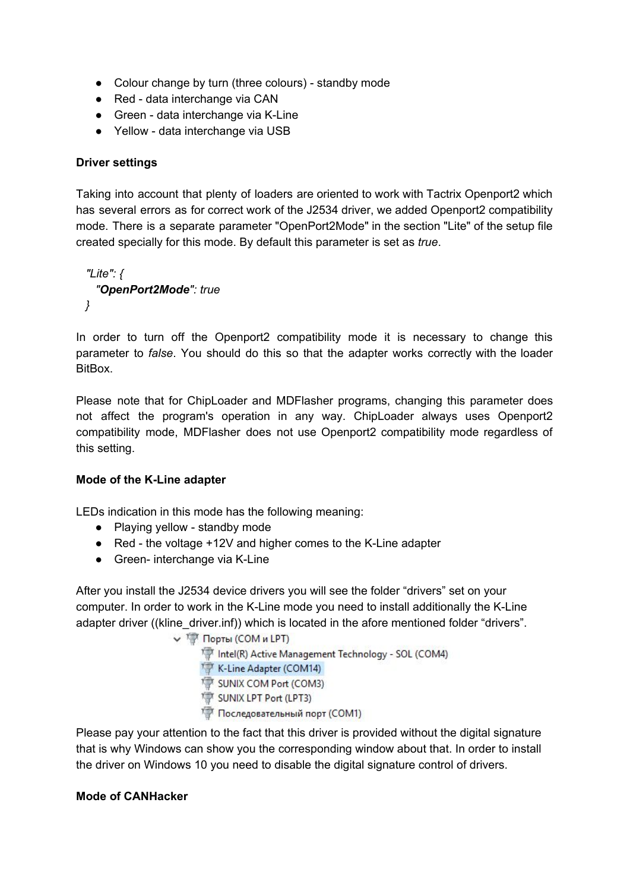- Colour change by turn (three colours) standby mode
- Red data interchange via CAN
- Green data interchange via K-Line
- Yellow data interchange via USB

## **Driver settings**

Taking into account that plenty of loaders are oriented to work with Tactrix Openport2 which has several errors as for correct work of the J2534 driver, we added Openport2 compatibility mode. There is a separate parameter "OpenPort2Mode" in the section "Lite" of the setup file created specially for this mode. By default this parameter is set as *true*.

```
"Lite": {
  "OpenPort2Mode": true
}
```
In order to turn off the Openport2 compatibility mode it is necessary to change this parameter to *false*. You should do this so that the adapter works correctly with the loader BitBox.

Please note that for ChipLoader and MDFlasher programs, changing this parameter does not affect the program's operation in any way. ChipLoader always uses Openport2 compatibility mode, MDFlasher does not use Openport2 compatibility mode regardless of this setting.

## **Mode of the K-Line adapter**

LEDs indication in this mode has the following meaning:

- Playing yellow standby mode
- Red the voltage +12V and higher comes to the K-Line adapter
- Green- interchange via K-Line

After you install the J2534 device drivers you will see the folder "drivers" set on your computer. In order to work in the K-Line mode you need to install additionally the K-Line adapter driver ((kline driver.inf)) which is located in the afore mentioned folder "drivers".

```
V T Порты (СОМ и LPT)
     Intel(R) Active Management Technology - SOL (COM4)
     K-Line Adapter (COM14)
     SUNIX COM Port (COM3)
     SUNIX LPT Port (LPT3)
     Последовательный порт (СОМ1)
```
Please pay your attention to the fact that this driver is provided without the digital signature that is why Windows can show you the corresponding window about that. In order to install the driver on Windows 10 you need to disable the digital signature control of drivers.

#### **Mode of CANHacker**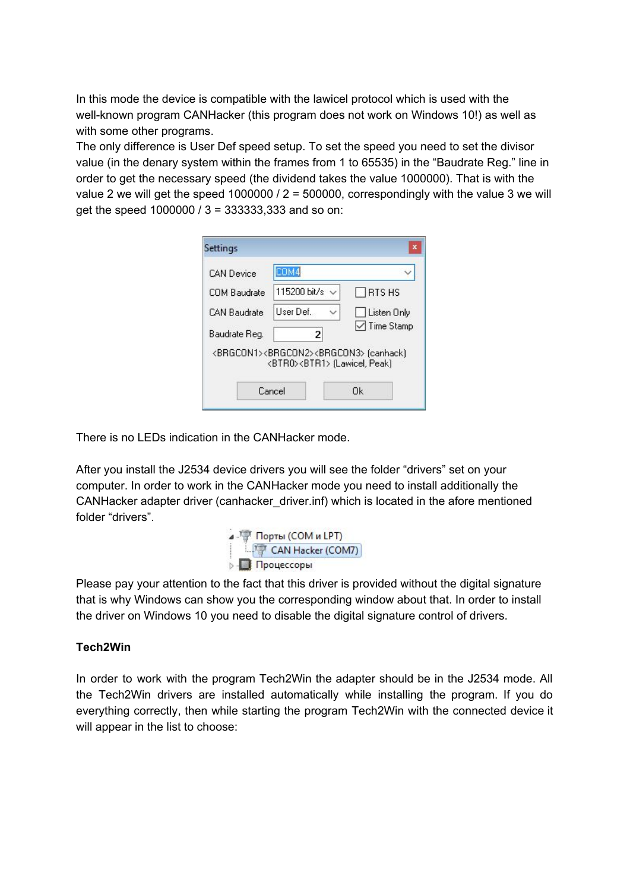In this mode the device is compatible with the lawicel protocol which is used with the well-known program CANHacker (this program does not work on Windows 10!) as well as with some other programs.

The only difference is User Def speed setup. To set the speed you need to set the divisor value (in the denary system within the frames from 1 to 65535) in the "Baudrate Reg." line in order to get the necessary speed (the dividend takes the value 1000000). That is with the value 2 we will get the speed 1000000 /  $2 = 500000$ , correspondingly with the value 3 we will get the speed 1000000 / 3 = 333333,333 and so on:

| <b>CAN Device</b> | COM4                                                                                                               |                     |
|-------------------|--------------------------------------------------------------------------------------------------------------------|---------------------|
| COM Baudrate      | 115200 bit/s $\vee$                                                                                                | $\Box$ RTS HS       |
| CAN Raudrate      | User Def.                                                                                                          | Listen Only         |
| Baudrate Reg.     | 2                                                                                                                  | <b>√</b> Time Stamp |
|                   | <brgcon1><brgcon2><brgcon3> (canhack)<br/><btr0><btr1> [Lawicel, Peak]</btr1></btr0></brgcon3></brgcon2></brgcon1> |                     |
|                   | Cancel                                                                                                             | Ωk                  |

There is no LEDs indication in the CANHacker mode.

After you install the J2534 device drivers you will see the folder "drivers" set on your computer. In order to work in the CANHacker mode you need to install additionally the CANHacker adapter driver (canhacker\_driver.inf) which is located in the afore mentioned folder "drivers".



Please pay your attention to the fact that this driver is provided without the digital signature that is why Windows can show you the corresponding window about that. In order to install the driver on Windows 10 you need to disable the digital signature control of drivers.

## **Tech2Win**

In order to work with the program Tech2Win the adapter should be in the J2534 mode. All the Tech2Win drivers are installed automatically while installing the program. If you do everything correctly, then while starting the program Tech2Win with the connected device it will appear in the list to choose: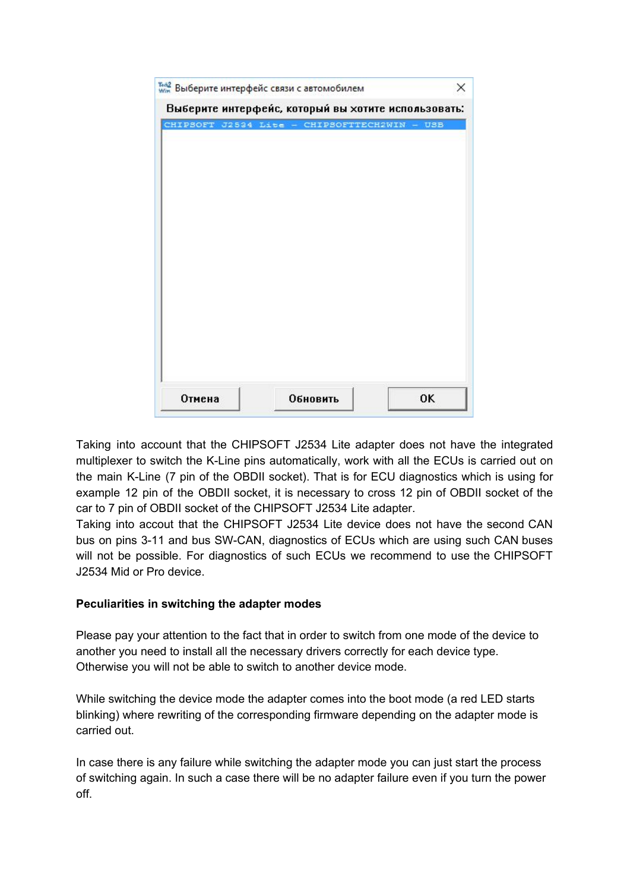| CHIPSOFT J2534 Lite - CHIPSOFTTECH2WIN - USB |  |
|----------------------------------------------|--|
|                                              |  |
|                                              |  |
|                                              |  |
|                                              |  |
|                                              |  |
|                                              |  |
|                                              |  |
|                                              |  |
|                                              |  |
|                                              |  |

Taking into account that the CHIPSOFT J2534 Lite adapter does not have the integrated multiplexer to switch the K-Line pins automatically, work with all the ECUs is carried out on the main K-Line (7 pin of the OBDII socket). That is for ECU diagnostics which is using for example 12 pin of the OBDII socket, it is necessary to cross 12 pin of OBDII socket of the car to 7 pin of OBDII socket of the CHIPSOFT J2534 Lite adapter.

Taking into accout that the CHIPSOFT J2534 Lite device does not have the second CAN bus on pins 3-11 and bus SW-CAN, diagnostics of ECUs which are using such CAN buses will not be possible. For diagnostics of such ECUs we recommend to use the CHIPSOFT J2534 Mid or Pro device.

## **Peculiarities in switching the adapter modes**

Please pay your attention to the fact that in order to switch from one mode of the device to another you need to install all the necessary drivers correctly for each device type. Otherwise you will not be able to switch to another device mode.

While switching the device mode the adapter comes into the boot mode (a red LED starts blinking) where rewriting of the corresponding firmware depending on the adapter mode is carried out.

In case there is any failure while switching the adapter mode you can just start the process of switching again. In such a case there will be no adapter failure even if you turn the power off.